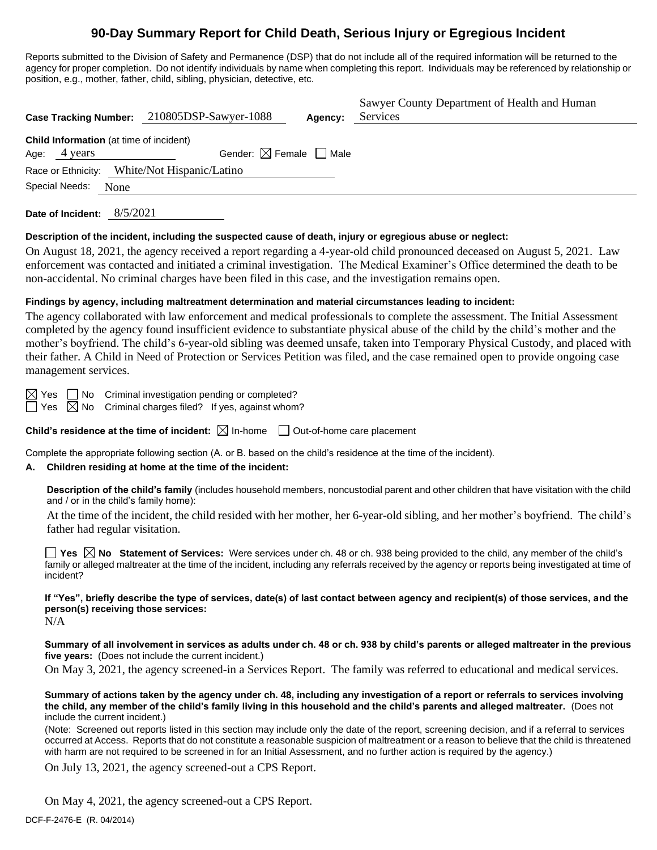# **90-Day Summary Report for Child Death, Serious Injury or Egregious Incident**

Reports submitted to the Division of Safety and Permanence (DSP) that do not include all of the required information will be returned to the agency for proper completion. Do not identify individuals by name when completing this report. Individuals may be referenced by relationship or position, e.g., mother, father, child, sibling, physician, detective, etc.

| Case Tracking Number: 210805DSP-Sawyer-1088                            |                                        | Agency: | Sawyer County Department of Health and Human<br>Services |
|------------------------------------------------------------------------|----------------------------------------|---------|----------------------------------------------------------|
| <b>Child Information</b> (at time of incident)<br>Age:<br>4 years      | Gender: $\boxtimes$ Female $\Box$ Male |         |                                                          |
| Race or Ethnicity: White/Not Hispanic/Latino<br>Special Needs:<br>None |                                        |         |                                                          |
|                                                                        |                                        |         |                                                          |

**Date of Incident:** 8/5/2021

#### **Description of the incident, including the suspected cause of death, injury or egregious abuse or neglect:**

On August 18, 2021, the agency received a report regarding a 4-year-old child pronounced deceased on August 5, 2021. Law enforcement was contacted and initiated a criminal investigation. The Medical Examiner's Office determined the death to be non-accidental. No criminal charges have been filed in this case, and the investigation remains open.

#### **Findings by agency, including maltreatment determination and material circumstances leading to incident:**

The agency collaborated with law enforcement and medical professionals to complete the assessment. The Initial Assessment completed by the agency found insufficient evidence to substantiate physical abuse of the child by the child's mother and the mother's boyfriend. The child's 6-year-old sibling was deemed unsafe, taken into Temporary Physical Custody, and placed with their father. A Child in Need of Protection or Services Petition was filed, and the case remained open to provide ongoing case management services.

 $\boxtimes$  Yes  $\Box$  No Criminal investigation pending or completed?

 $\Box$  Yes  $\boxtimes$  No Criminal charges filed? If yes, against whom?

**Child's residence at the time of incident:**  $\boxtimes$  In-home  $\Box$  Out-of-home care placement

Complete the appropriate following section (A. or B. based on the child's residence at the time of the incident).

#### **A. Children residing at home at the time of the incident:**

**Description of the child's family** (includes household members, noncustodial parent and other children that have visitation with the child and / or in the child's family home):

At the time of the incident, the child resided with her mother, her 6-year-old sibling, and her mother's boyfriend. The child's father had regular visitation.

■ Yes △ No Statement of Services: Were services under ch. 48 or ch. 938 being provided to the child, any member of the child's family or alleged maltreater at the time of the incident, including any referrals received by the agency or reports being investigated at time of incident?

**If "Yes", briefly describe the type of services, date(s) of last contact between agency and recipient(s) of those services, and the person(s) receiving those services:**

N/A

**Summary of all involvement in services as adults under ch. 48 or ch. 938 by child's parents or alleged maltreater in the previous five years:** (Does not include the current incident.)

On May 3, 2021, the agency screened-in a Services Report. The family was referred to educational and medical services.

**Summary of actions taken by the agency under ch. 48, including any investigation of a report or referrals to services involving the child, any member of the child's family living in this household and the child's parents and alleged maltreater.** (Does not include the current incident.)

(Note: Screened out reports listed in this section may include only the date of the report, screening decision, and if a referral to services occurred at Access. Reports that do not constitute a reasonable suspicion of maltreatment or a reason to believe that the child is threatened with harm are not required to be screened in for an Initial Assessment, and no further action is required by the agency.)

On July 13, 2021, the agency screened-out a CPS Report.

On May 4, 2021, the agency screened-out a CPS Report.